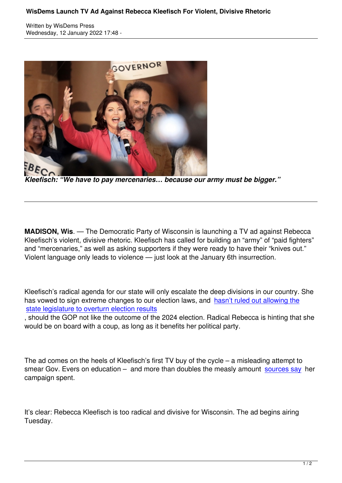Wisdems Press, which is the extensive press, which is the extensive press, which is the extensive press, which



*Kleefisch: "We have to pay mercenaries… because our army must be bigger."*

**MADISON, Wis**. — The Democratic Party of Wisconsin is launching a TV ad against Rebecca Kleefisch's violent, divisive rhetoric. Kleefisch has called for building an "army" of "paid fighters" and "mercenaries," as well as asking supporters if they were ready to have their "knives out." Violent language only leads to violence — just look at the January 6th insurrection.

Kleefisch's radical agenda for our state will only escalate the deep divisions in our country. She has vowed to sign extreme changes to our election laws, and hasn't ruled out allowing the state legislature to overturn election results

, should the GOP not like the outcome of the 2024 election. Radical Rebecca is hinting that she would be on board with a coup, as long as it benefits her politi[cal party.](https://u1584542.ct.sendgrid.net/ss/c/atcYNHk4Eh2YdGnwBh-YDCGn02KKFlRPG8q51pnh__XtDSmUUdb3phuopdx2VyLFALIAxfZ_boiBmvFQ2zgyS_zsQCnIafq3myQp2GeceLl7FkaDg5vEG3gYhQgCZMrpalTaxT9m8zLgEotcA2kX4ZU1s_RfdWsslNHpi7Jhtn0c6c1cODZbX1Kz2P3E5SiApi7GPEmMTJAUzlnR5-lGdqJuALyPe3CaGfz8tY2H9NTThpc4NFsN-7vBRchx7iycsP54w1BRKuXY7bKIMY2eqD1EwJs11z8MoV2NXDaYhussQ7iDbIHOLQ7LqsFLGRguhjeoZmTskR7-BgmO3lsDogxr1BsSrUR9KIeLeKKFuypUtBVrXNMYJlttm2W4ycMXFq8weseIBdLvwMQMO8cMkALpIL6xGmBQjGa_4n6w-k7jedwCTVa9EI4zOTNOEAX9Y6wh40EBOS-gn_gMUXUSmY9FQaXW7yrIoSrlZm1Zd4SP6ybHFuuB5udxz0GrH7ji1ljhwanZqzSvdOEBU7o8KWz2V_xVxNLLUTRlJkplACdofZgf_VgLc6T2csGn0Ur-/3im/aPTdAuxmQpakg1Pj9QhXgw/h0/dd834Nx9nce1G7GL3uq_kj3y2rIZIIRn4EeUtbU8IV4)

The ad comes on the heels of Kleefisch's first TV buy of the cycle – a misleading attempt to smear Gov. Evers on education  $-$  and more than doubles the measly amount sources say her campaign spent.

It's clear: Rebecca Kleefisch is too radical and divisive for Wisconsin. The ad begins airing Tuesday.